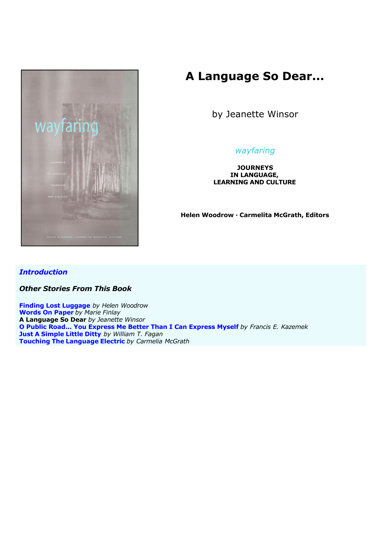

# **A Language So Dear...**

by Jeanette Winsor

## *wayfaring*

**JOURNEYS IN LANGUAGE, LEARNING AND CULTURE**

**Helen Woodrow · Carmelita McGrath, Editors**

### *Introduction*

*Other Stories From This Book*

**Finding Lost Luggage** *by Helen Woodrow* **Words On Paper** *by Marie Finlay* **A Language So Dear** *by Jeanette Winsor* **O Public Road... You Express Me Better Than I Can Express Myself** *by Francis E. Kazemek* **Just A Simple Little Ditty** *by William T. Fagan* **Touching The Language Electric** *by Carmelia McGrath*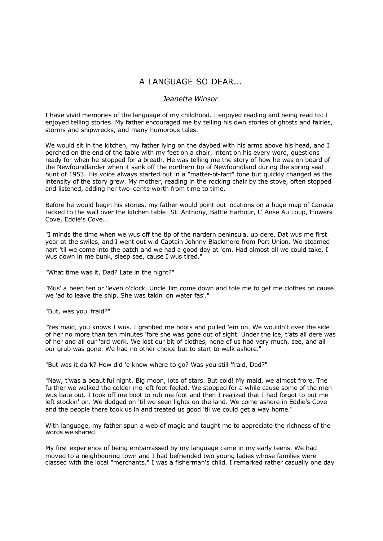## A LANGUAGE SO DEAR...

#### *Jeanette Winsor*

I have vivid memories of the language of my childhood. I enjoyed reading and being read to; I enjoyed telling stories. My father encouraged me by telling his own stories of ghosts and fairies, storms and shipwrecks, and many humorous tales.

We would sit in the kitchen, my father lying on the daybed with his arms above his head, and I perched on the end of the table with my feet on a chair, intent on his every word, questions ready for when he stopped for a breath. He was telling me the story of how he was on board of the Newfoundlander when it sank off the northern tip of Newfoundland during the spring seal hunt of 1953. His voice always started out in a "matter-of-fact" tone but quickly changed as the intensity of the story grew. My mother, reading in the rocking chair by the stove, often stopped and listened, adding her two-cents-worth from time to time.

Before he would begin his stories, my father would point out locations on a huge map of Canada tacked to the wall over the kitchen table: St. Anthony, Battle Harbour, L' Anse Au Loup, Flowers Cove, Eddie's Cove...

"I minds the time when we wus off the tip of the nardern peninsula, up dere. Dat wus me first year at the swiles, and I went out wid Captain Johnny Blackmore from Port Union. We steamed nart 'til we come into the patch and we had a good day at 'em. Had almost all we could take. I wus down in me bunk, sleep see, cause I wus tired."

"What time was it, Dad? Late in the night?"

"Mus' a been ten or 'leven o'clock. Uncle Jim come down and tole me to get me clothes on cause we 'ad to leave the ship. She was takin' on water fas'."

"But, was you 'fraid?"

"Yes maid, you knows I wus. I grabbed me boots and pulled 'em on. We wouldn't over the side of her no more than ten minutes 'fore she was gone out of sight. Under the ice, t'ats all dere was of her and all our 'ard work. We lost our bit of clothes, none of us had very much, see, and all our grub was gone. We had no other choice but to start to walk ashore."

"But was it dark? How did 'e know where to go? Was you still 'fraid, Dad?"

"Naw, t'was a beautiful night. Big moon, lots of stars. But cold! My maid, we almost frore. The further we walked the colder me left foot feeled. We stopped for a while cause some of the men wus bate out. I took off me boot to rub me foot and then I realized that I had forgot to put me left stockin' on. We dodged on 'til we seen lights on the land. We come ashore in Eddie's Cove and the people there took us in and treated us good 'til we could get a way home."

With language, my father spun a web of magic and taught me to appreciate the richness of the words we shared.

My first experience of being embarrassed by my language came in my early teens. We had moved to a neighbouring town and I had befriended two young ladies whose families were classed with the local "merchants." I was a fisherman's child. I remarked rather casually one day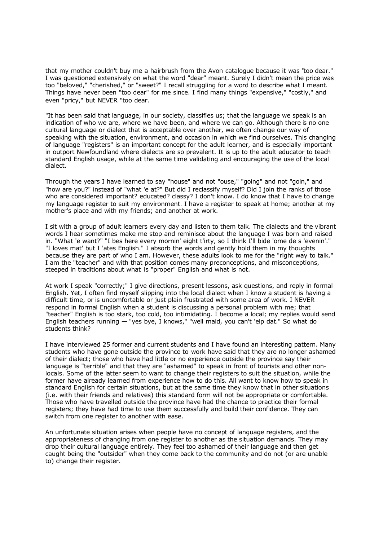that my mother couldn't buy me a hairbrush from the Avon catalogue because it was "too dear." I was questioned extensively on what the word "dear" meant. Surely I didn't mean the price was too "beloved," "cherished," or "sweet?" I recall struggling for a word to describe what I meant. Things have never been "too dear" for me since. I find many things "expensive," "costly," and even "pricy," but NEVER "too dear.

"It has been said that language, in our society, classifies us; that the language we speak is an indication of who we are, where we have been, and where we can go. Although there is no one cultural language or dialect that is acceptable over another, we often change our way of speaking with the situation, environment, and occasion in which we find ourselves. This changing of language "registers" is an important concept for the adult learner, and is especially important in outport Newfoundland where dialects are so prevalent. It is up to the adult educator to teach standard English usage, while at the same time validating and encouraging the use of the local dialect.

Through the years I have learned to say "house" and not "ouse," "going" and not "goin," and "how are you?" instead of "what 'e at?" But did I reclassify myself? Did I join the ranks of those who are considered important? educated? classy? I don't know. I do know that I have to change my language register to suit my environment. I have a register to speak at home; another at my mother's place and with my friends; and another at work.

I sit with a group of adult learners every day and listen to them talk. The dialects and the vibrant words I hear sometimes make me stop and reminisce about the language I was born and raised in. "What 'e want?" "I bes here every mornin' eight t'irty, so I think I'll bide 'ome de s 'evenin'." "I loves mat' but I 'ates English." I absorb the words and gently hold them in my thoughts because they are part of who I am. However, these adults look to me for the "right way to talk." I am the "teacher" and with that position comes many preconceptions, and misconceptions, steeped in traditions about what is "proper" English and what is not.

At work I speak "correctly;" I give directions, present lessons, ask questions, and reply in formal English. Yet, I often find myself slipping into the local dialect when I know a student is having a difficult time, or is uncomfortable or just plain frustrated with some area of work. I NEVER respond in formal English when a student is discussing a personal problem with me; that "teacher" English is too stark, too cold, too intimidating. I become a local; my replies would send English teachers running — "yes bye, I knows," "well maid, you can't 'elp dat." So what do students think?

I have interviewed 25 former and current students and I have found an interesting pattern. Many students who have gone outside the province to work have said that they are no longer ashamed of their dialect; those who have had little or no experience outside the province say their language is "terrible" and that they are "ashamed" to speak in front of tourists and other nonlocals. Some of the latter seem to want to change their registers to suit the situation, while the former have already learned from experience how to do this. All want to know how to speak in standard English for certain situations, but at the same time they know that in other situations (i.e. with their friends and relatives) this standard form will not be appropriate or comfortable. Those who have travelled outside the province have had the chance to practice their formal registers; they have had time to use them successfully and build their confidence. They can switch from one register to another with ease.

An unfortunate situation arises when people have no concept of language registers, and the appropriateness of changing from one register to another as the situation demands. They may drop their cultural language entirely. They feel too ashamed of their language and then get caught being the "outsider" when they come back to the community and do not (or are unable to) change their register.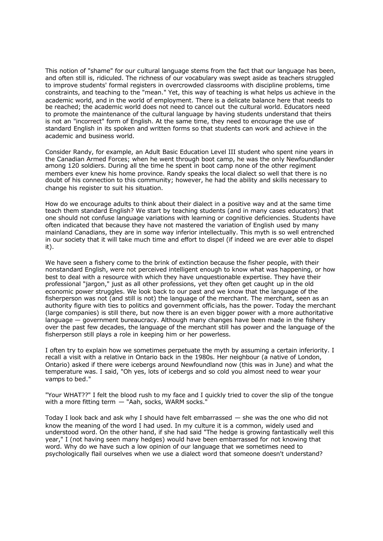This notion of "shame" for our cultural language stems from the fact that our language has been, and often still is, ridiculed. The richness of our vocabulary was swept aside as teachers struggled to improve students' formal registers in overcrowded classrooms with discipline problems, time constraints, and teaching to the "mean." Yet, this way of teaching is what helps us achieve in the academic world, and in the world of employment. There is a delicate balance here that needs to be reached; the academic world does not need to cancel out the cultural world. Educators need to promote the maintenance of the cultural language by having students understand that theirs is not an "incorrect" form of English. At the same time, they need to encourage the use of standard English in its spoken and written forms so that students can work and achieve in the academic and business world.

Consider Randy, for example, an Adult Basic Education Level III student who spent nine years in the Canadian Armed Forces; when he went through boot camp, he was the only Newfoundlander among 120 soldiers. During all the time he spent in boot camp none of the other regiment members ever knew his home province. Randy speaks the local dialect so well that there is no doubt of his connection to this community; however, he had the ability and skills necessary to change his register to suit his situation.

How do we encourage adults to think about their dialect in a positive way and at the same time teach them standard English? We start by teaching students (and in many cases educators) that one should not confuse language variations with learning or cognitive deficiencies. Students have often indicated that because they have not mastered the variation of English used by many mainland Canadians, they are in some way inferior intellectually. This myth is so well entrenched in our society that it will take much time and effort to dispel (if indeed we are ever able to dispel it).

We have seen a fishery come to the brink of extinction because the fisher people, with their nonstandard English, were not perceived intelligent enough to know what was happening, or how best to deal with a resource with which they have unquestionable expertise. They have their professional "jargon," just as all other professions, yet they often get caught up in the old economic power struggles. We look back to our past and we know that the language of the fisherperson was not (and still is not) the language of the merchant. The merchant, seen as an authority figure with ties to politics and government offic ials, has the power. Today the merchant (large companies) is still there, but now there is an even bigger power with a more authoritative language — government bureaucracy. Although many changes have been made in the fishery over the past few decades, the language of the merchant still has power and the language of the fisherperson still plays a role in keeping him or her powerless.

I often try to explain how we sometimes perpetuate the myth by assuming a certain inferiority. I recall a visit with a relative in Ontario back in the 1980s. Her neighbour (a native of London, Ontario) asked if there were icebergs around Newfoundland now (this was in June) and what the temperature was. I said, "Oh yes, lots of icebergs and so cold you almost need to wear your vamps to bed."

"Your WHAT??" I felt the blood rush to my face and I quickly tried to cover the slip of the tongue with a more fitting term - "Aah, socks, WARM socks."

Today I look back and ask why I should have felt embarrassed — she was the one who did not know the meaning of the word I had used. In my culture it is a common, widely used and understood word. On the other hand, if she had said "The hedge is growing fantastically well this year," I (not having seen many hedges) would have been embarrassed for not knowing that word. Why do we have such a low opinion of our language that we sometimes need to psychologically flail ourselves when we use a dialect word that someone doesn't understand?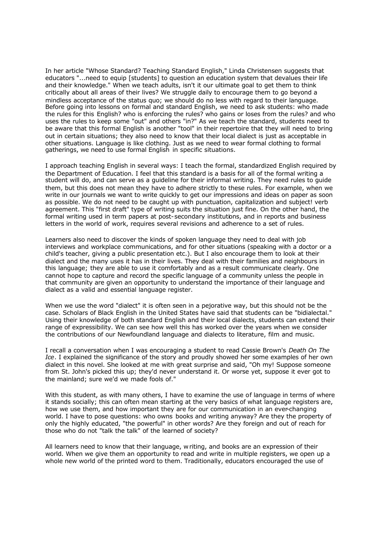In her article "Whose Standard? Teaching Standard English," Linda Christensen suggests that educators "...need to equip [students] to question an education system that devalues their life and their knowledge." When we teach adults, isn't it our ultimate goal to get them to think critically about all areas of their lives? We struggle daily to encourage them to go beyond a mindless acceptance of the status quo; we should do no less with regard to their language. Before going into lessons on formal and standard English, we need to ask students: who made the rules for this English? who is enforcing the rules? who gains or loses from the rules? and who uses the rules to keep some "out" and others "in?" As we teach the standard, students need to be aware that this formal English is another "tool" in their repertoire that they will need to bring out in certain situations; they also need to know that their local dialect is just as acceptable in other situations. Language is like clothing. Just as we need to wear formal clothing to formal gatherings, we need to use formal English in specific situations.

I approach teaching English in several ways: I teach the formal, standardized English required by the Department of Education. I feel that this standard is a basis for all of the formal writing a student will do, and can serve as a guideline for their informal writing. They need rules to guide them, but this does not mean they have to adhere strictly to these rules. For example, when we write in our journals we want to write quickly to get our impressions and ideas on paper as soon as possible. We do not need to be caught up with punctuation, capitalization and subject! verb agreement. This "first draft" type of writing suits the situation just fine. On the other hand, the formal writing used in term papers at post-secondary institutions, and in reports and business letters in the world of work, requires several revisions and adherence to a set of rules.

Learners also need to discover the kinds of spoken language they need to deal with job interviews and workplace communications, and for other situations (speaking with a doctor or a child's teacher, giving a public presentation etc.). But I also encourage them to look at their dialect and the many uses it has in their lives. They deal with their families and neighbours in this language; they are able to use it comfortably and as a result communicate clearly. One cannot hope to capture and record the specific language of a community unless the people in that community are given an opportunity to understand the importance of their language and dialect as a valid and essential language register.

When we use the word "dialect" it is often seen in a pejorative way, but this should not be the case. Scholars of Black English in the United States have said that students can be "bidialectal." Using their knowledge of both standard English and their local dialects, students can extend their range of expressibility. We can see how well this has worked over the years when we consider the contributions of our Newfoundland language and dialects to literature, film and music.

I recall a conversation when I was encouraging a student to read Cassie Brown's *Death On The Ice*. I explained the significance of the story and proudly showed her some examples of her own dialect in this novel. She looked at me with great surprise and said, "Oh my! Suppose someone from St. John's picked this up; they'd never understand it. Or worse yet, suppose it ever got to the mainland; sure we'd we made fools of."

With this student, as with many others, I have to examine the use of language in terms of where it stands socially; this can often mean starting at the very basics of what language registers are, how we use them, and how important they are for our communication in an ever-changing world. I have to pose questions: who owns books and writing anyway? Are they the property of only the highly educated, "the powerful" in other words? Are they foreign and out of reach for those who do not "talk the talk" of the learned of society?

All learners need to know that their language, w riting, and books are an expression of their world. When we give them an opportunity to read and write in multiple registers, we open up a whole new world of the printed word to them. Traditionally, educators encouraged the use of